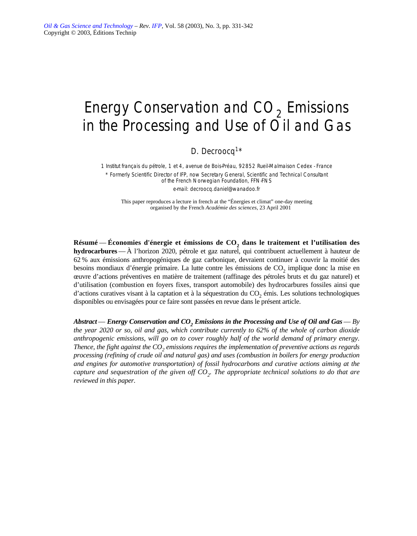# Energy Conservation and  $CO<sub>2</sub>$  Emissions in the Processing and Use of Oil and Gas

D. Decroocq<sup>1\*</sup>

*1 Institut français du pétrole, 1 et 4, avenue de Bois-Préau, 92852 Rueil-Malmaison Cedex - France \* Formerly Scientific Director of IFP, now Secretary General, Scientific and Technical Consultant of the French Norwegian Foundation, FFN-FNS e-mail: decroocq.daniel@wanadoo.fr*

This paper reproduces a lecture in french at the "Énergies et climat" one-day meeting organised by the French *Académie des sciences*, 23 April 2001

Résumé — Économies d'énergie et émissions de CO<sub>2</sub> dans le traitement et l'utilisation des **hydrocarbures** — À l'horizon 2020, pétrole et gaz naturel, qui contribuent actuellement à hauteur de 62 % aux émissions anthropogéniques de gaz carbonique, devraient continuer à couvrir la moitié des besoins mondiaux d'énergie primaire. La lutte contre les émissions de CO<sub>2</sub> implique donc la mise en œuvre d'actions préventives en matière de traitement (raffinage des pétroles bruts et du gaz naturel) et d'utilisation (combustion en foyers fixes, transport automobile) des hydrocarbures fossiles ainsi que d'actions curatives visant à la captation et à la séquestration du  $CO<sub>2</sub>$  émis. Les solutions technologiques disponibles ou envisagées pour ce faire sont passées en revue dans le présent article.

Abstract — *Energy Conservation and CO<sub>2</sub> Emissions in the Processing and Use of Oil and Gas* — *By the year 2020 or so, oil and gas, which contribute currently to 62% of the whole of carbon dioxide anthropogenic emissions, will go on to cover roughly half of the world demand of primary energy. Thence, the fight against the CO<sub>2</sub> emissions requires the implementation of preventive actions as regards processing (refining of crude oil and natural gas) and uses (combustion in boilers for energy production and engines for automotive transportation) of fossil hydrocarbons and curative actions aiming at the capture and sequestration of the given off CO<sub>2</sub>. The appropriate technical solutions to do that are reviewed in this paper.*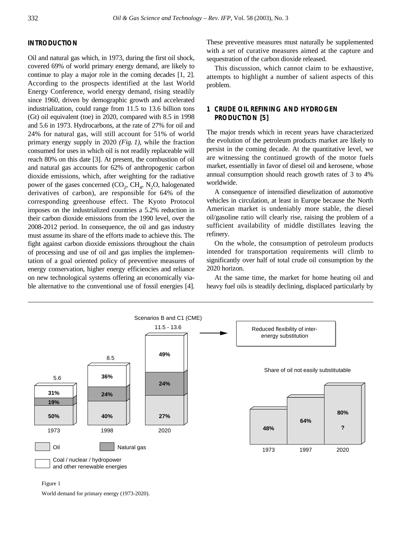## **INTRODUCTION**

Oil and natural gas which, in 1973, during the first oil shock, covered 69% of world primary energy demand, are likely to continue to play a major role in the coming decades [1, 2]. According to the prospects identified at the last World Energy Conference, world energy demand, rising steadily since 1960, driven by demographic growth and accelerated industrialization, could range from 11.5 to 13.6 billion tons (Gt) oil equivalent (toe) in 2020, compared with 8.5 in 1998 and 5.6 in 1973. Hydrocarbons, at the rate of 27% for oil and 24% for natural gas, will still account for 51% of world primary energy supply in 2020 *(Fig. 1)*, while the fraction consumed for uses in which oil is not readily replaceable will reach 80% on this date [3]. At present, the combustion of oil and natural gas accounts for 62% of anthropogenic carbon dioxide emissions, which, after weighting for the radiative power of the gases concerned  $(CO<sub>2</sub>, CH<sub>4</sub>, N<sub>2</sub>O, halogenated)$ derivatives of carbon), are responsible for 64% of the corresponding greenhouse effect. The Kyoto Protocol imposes on the industrialized countries a 5.2% reduction in their carbon dioxide emissions from the 1990 level, over the 2008-2012 period. In consequence, the oil and gas industry must assume its share of the efforts made to achieve this. The fight against carbon dioxide emissions throughout the chain of processing and use of oil and gas implies the implementation of a goal oriented policy of preventive measures of energy conservation, higher energy efficiencies and reliance on new technological systems offering an economically viable alternative to the conventional use of fossil energies [4].

These preventive measures must naturally be supplemented with a set of curative measures aimed at the capture and sequestration of the carbon dioxide released.

This discussion, which cannot claim to be exhaustive, attempts to highlight a number of salient aspects of this problem.

# **1 CRUDE OIL REFINING AND HYDROGEN PRODUCTION [5]**

The major trends which in recent years have characterized the evolution of the petroleum products market are likely to persist in the coming decade. At the quantitative level, we are witnessing the continued growth of the motor fuels market, essentially in favor of diesel oil and kerosene, whose annual consumption should reach growth rates of 3 to 4% worldwide.

A consequence of intensified dieselization of automotive vehicles in circulation, at least in Europe because the North American market is undeniably more stable, the diesel oil/gasoline ratio will clearly rise, raising the problem of a sufficient availability of middle distillates leaving the refinery.

On the whole, the consumption of petroleum products intended for transportation requirements will climb to significantly over half of total crude oil consumption by the 2020 horizon.

At the same time, the market for home heating oil and heavy fuel oils is steadily declining, displaced particularly by



Figure 1

World demand for primary energy (1973-2020).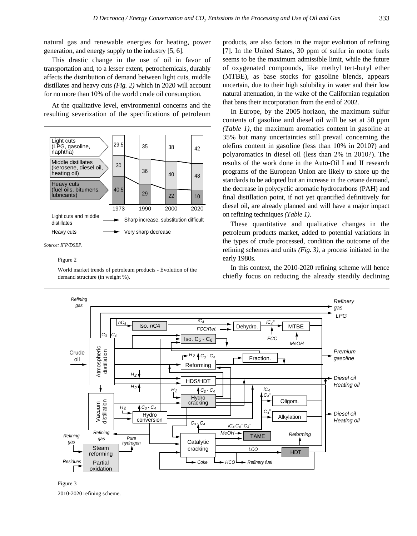natural gas and renewable energies for heating, power generation, and energy supply to the industry [5, 6].

This drastic change in the use of oil in favor of transportation and, to a lesser extent, petrochemicals, durably affects the distribution of demand between light cuts, middle distillates and heavy cuts *(Fig. 2)* which in 2020 will account for no more than 10% of the world crude oil consumption.

At the qualitative level, environmental concerns and the resulting severization of the specifications of petroleum



*Source: IFP/DSEP.*

#### Figure 2

World market trends of petroleum products - Evolution of the demand structure (in weight %).

products, are also factors in the major evolution of refining [7]. In the United States, 30 ppm of sulfur in motor fuels seems to be the maximum admissible limit, while the future of oxygenated compounds, like methyl tert-butyl ether (MTBE), as base stocks for gasoline blends, appears uncertain, due to their high solubility in water and their low natural attenuation, in the wake of the Californian regulation that bans their incorporation from the end of 2002.

In Europe, by the 2005 horizon, the maximum sulfur contents of gasoline and diesel oil will be set at 50 ppm *(Table 1)*, the maximum aromatics content in gasoline at 35% but many uncertainties still prevail concerning the olefins content in gasoline (less than 10% in 2010?) and polyaromatics in diesel oil (less than 2% in 2010?). The results of the work done in the Auto-Oil I and II research programs of the European Union are likely to shore up the standards to be adopted but an increase in the cetane demand, the decrease in polycyclic aromatic hydrocarbons (PAH) and final distillation point, if not yet quantified definitively for diesel oil, are already planned and will have a major impact on refining techniques *(Table 1)*.

These quantitative and qualitative changes in the petroleum products market, added to potential variations in the types of crude processed, condition the outcome of the refining schemes and units *(Fig. 3)*, a process initiated in the early 1980s.

In this context, the 2010-2020 refining scheme will hence chiefly focus on reducing the already steadily declining



Figure 3 2010-2020 refining scheme.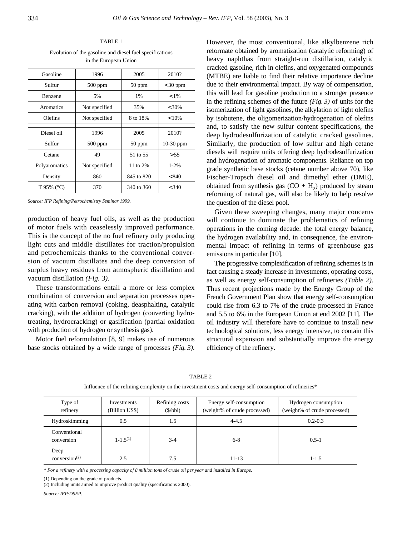TABLE 1

Evolution of the gasoline and diesel fuel specifications in the European Union

| Gasoline       | 1996          | 2005       | 2010?       |
|----------------|---------------|------------|-------------|
| Sulfur         | $500$ ppm     | 50 ppm     | $<$ 30 ppm  |
| <b>Benzene</b> | 5%            | $1\%$      | $< 1\%$     |
| Aromatics      | Not specified | 35%        | $< 30\%$    |
| Olefins        | Not specified | 8 to 18%   | < 10%       |
| Diesel oil     | 1996          | 2005       | 2010?       |
| Sulfur         | $500$ ppm     | $50$ ppm   | $10-30$ ppm |
| Cetane         | 49            | 51 to 55   | > 55        |
| Polyaromatics  | Not specified | 11 to 2%   | $1 - 2%$    |
| Density        | 860           | 845 to 820 | < 840       |
| T 95% (°C)     | 370           | 340 to 360 | < 340       |

*Source: IFP Refining/Petrochemistry Seminar 1999.*

production of heavy fuel oils, as well as the production of motor fuels with ceaselessly improved performance. This is the concept of the no fuel refinery only producing light cuts and middle distillates for traction/propulsion and petrochemicals thanks to the conventional conversion of vacuum distillates and the deep conversion of surplus heavy residues from atmospheric distillation and vacuum distillation *(Fig. 3)*.

These transformations entail a more or less complex combination of conversion and separation processes operating with carbon removal (coking, deasphalting, catalytic cracking), with the addition of hydrogen (converting hydrotreating, hydrocracking) or gasification (partial oxidation with production of hydrogen or synthesis gas).

Motor fuel reformulation [8, 9] makes use of numerous base stocks obtained by a wide range of processes *(Fig. 3)*. However, the most conventional, like alkylbenzene rich reformate obtained by aromatization (catalytic reforming) of heavy naphthas from straight-run distillation, catalytic cracked gasoline, rich in olefins, and oxygenated compounds (MTBE) are liable to find their relative importance decline due to their environmental impact. By way of compensation, this will lead for gasoline production to a stronger presence in the refining schemes of the future *(Fig. 3)* of units for the isomerization of light gasolines, the alkylation of light olefins by isobutene, the oligomerization/hydrogenation of olefins and, to satisfy the new sulfur content specifications, the deep hydrodesulfurization of catalytic cracked gasolines. Similarly, the production of low sulfur and high cetane diesels will require units offering deep hydrodesulfurization and hydrogenation of aromatic components. Reliance on top grade synthetic base stocks (cetane number above 70), like Fischer-Tropsch diesel oil and dimethyl ether (DME), obtained from synthesis gas  $(CO + H<sub>2</sub>)$  produced by steam reforming of natural gas, will also be likely to help resolve the question of the diesel pool.

Given these sweeping changes, many major concerns will continue to dominate the problematics of refining operations in the coming decade: the total energy balance, the hydrogen availability and, in consequence, the environmental impact of refining in terms of greenhouse gas emissions in particular [10].

The progressive complexification of refining schemes is in fact causing a steady increase in investments, operating costs, as well as energy self-consumption of refineries *(Table 2)*. Thus recent projections made by the Energy Group of the French Government Plan show that energy self-consumption could rise from 6.3 to 7% of the crude processed in France and 5.5 to 6% in the European Union at end 2002 [11]. The oil industry will therefore have to continue to install new technological solutions, less energy intensive, to contain this structural expansion and substantially improve the energy efficiency of the refinery.

| Type of<br>refinery                            | Investments<br>(Billion US\$) | Refining costs<br>(S/bbl) | Energy self-consumption<br>(weight% of crude processed) | Hydrogen consumption<br>(weight% of crude processed) |
|------------------------------------------------|-------------------------------|---------------------------|---------------------------------------------------------|------------------------------------------------------|
| Hydroskimming                                  | 0.5                           | 1.5                       | $4 - 4.5$                                               | $0.2 - 0.3$                                          |
| Conventional<br>conversion                     | $1 - 1.5^{(1)}$               | $3-4$                     | 6-8                                                     | $0.5 - 1$                                            |
| Deep<br>conversion <sup><math>(2)</math></sup> | 2.5                           | 7.5                       | $11 - 13$                                               | $1 - 1.5$                                            |

TABLE 2

Influence of the refining complexity on the investment costs and energy self-consumption of refineries\*

*\* For a refinery with a processing capacity of 8 million tons of crude oil per year and installed in Europe.*

(1) Depending on the grade of products.

(2) Including units aimed to improve product quality (specifications 2000).

*Source: IFP/DSEP.*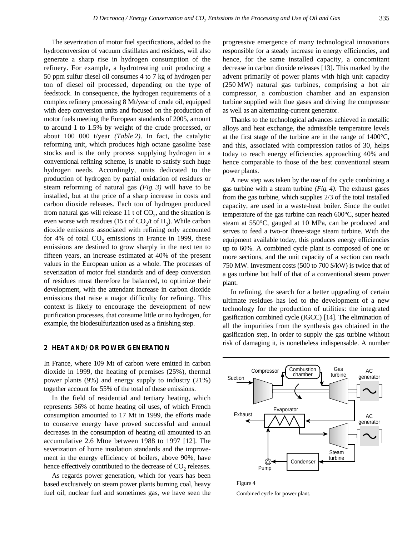The severization of motor fuel specifications, added to the hydroconversion of vacuum distillates and residues, will also generate a sharp rise in hydrogen consumption of the refinery. For example, a hydrotreating unit producing a 50 ppm sulfur diesel oil consumes 4 to 7 kg of hydrogen per ton of diesel oil processed, depending on the type of feedstock. In consequence, the hydrogen requirements of a complex refinery processing 8 Mt/year of crude oil, equipped with deep conversion units and focused on the production of motor fuels meeting the European standards of 2005, amount to around 1 to 1.5% by weight of the crude processed, or about 100 000 t/year *(Table 2)*. In fact, the catalytic reforming unit, which produces high octane gasoline base stocks and is the only process supplying hydrogen in a conventional refining scheme, is unable to satisfy such huge hydrogen needs. Accordingly, units dedicated to the production of hydrogen by partial oxidation of residues or steam reforming of natural gas *(Fig. 3)* will have to be installed, but at the price of a sharp increase in costs and carbon dioxide releases. Each ton of hydrogen produced from natural gas will release 11 t of  $CO<sub>2</sub>$ , and the situation is even worse with residues (15 t of  $CO<sub>2</sub>/t$  of H<sub>2</sub>). While carbon dioxide emissions associated with refining only accounted for  $4\%$  of total  $CO<sub>2</sub>$  emissions in France in 1999, these emissions are destined to grow sharply in the next ten to fifteen years, an increase estimated at 40% of the present values in the European union as a whole. The processes of severization of motor fuel standards and of deep conversion of residues must therefore be balanced, to optimize their development, with the attendant increase in carbon dioxide emissions that raise a major difficulty for refining. This context is likely to encourage the development of new purification processes, that consume little or no hydrogen, for example, the biodesulfurization used as a finishing step.

#### **2 HEAT AND/OR POWER GENERATION**

In France, where 109 Mt of carbon were emitted in carbon dioxide in 1999, the heating of premises (25%), thermal power plants (9%) and energy supply to industry (21%) together account for 55% of the total of these emissions.

In the field of residential and tertiary heating, which represents 56% of home heating oil uses, of which French consumption amounted to 17 Mt in 1999, the efforts made to conserve energy have proved successful and annual decreases in the consumption of heating oil amounted to an accumulative 2.6 Mtoe between 1988 to 1997 [12]. The severization of home insulation standards and the improvement in the energy efficiency of boilers, above 90%, have hence effectively contributed to the decrease of  $CO<sub>2</sub>$  releases.

As regards power generation, which for years has been based exclusively on steam power plants burning coal, heavy fuel oil, nuclear fuel and sometimes gas, we have seen the progressive emergence of many technological innovations responsible for a steady increase in energy efficiencies, and hence, for the same installed capacity, a concomitant decrease in carbon dioxide releases [13]. This marked by the advent primarily of power plants with high unit capacity (250 MW) natural gas turbines, comprising a hot air compressor, a combustion chamber and an expansion turbine supplied with flue gases and driving the compressor as well as an alternating-current generator.

Thanks to the technological advances achieved in metallic alloys and heat exchange, the admissible temperature levels at the first stage of the turbine are in the range of 1400°C, and this, associated with compression ratios of 30, helps today to reach energy efficiencies approaching 40% and hence comparable to those of the best conventional steam power plants.

A new step was taken by the use of the cycle combining a gas turbine with a steam turbine *(Fig. 4)*. The exhaust gases from the gas turbine, which supplies 2/3 of the total installed capacity, are used in a waste-heat boiler. Since the outlet temperature of the gas turbine can reach 600°C, super heated steam at 550°C, gauged at 10 MPa, can be produced and serves to feed a two-or three-stage steam turbine. With the equipment available today, this produces energy efficiencies up to 60%. A combined cycle plant is composed of one or more sections, and the unit capacity of a section can reach 750 MW. Investment costs (500 to 700 \$/kW) is twice that of a gas turbine but half of that of a conventional steam power plant.

In refining, the search for a better upgrading of certain ultimate residues has led to the development of a new technology for the production of utilities: the integrated gasification combined cycle (IGCC) [14]. The elimination of all the impurities from the synthesis gas obtained in the gasification step, in order to supply the gas turbine without risk of damaging it, is nonetheless indispensable. A number





Combined cycle for power plant.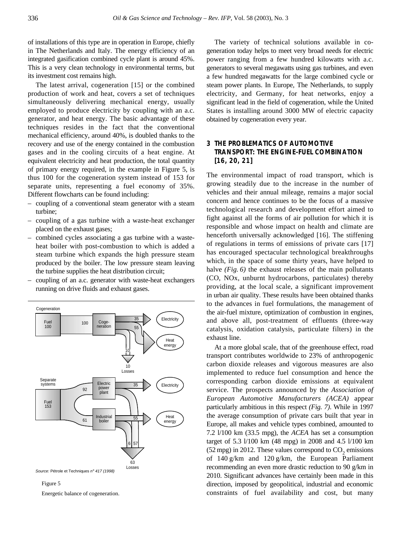of installations of this type are in operation in Europe, chiefly in The Netherlands and Italy. The energy efficiency of an integrated gasification combined cycle plant is around 45%. This is a very clean technology in environmental terms, but its investment cost remains high.

The latest arrival, cogeneration [15] or the combined production of work and heat, covers a set of techniques simultaneously delivering mechanical energy, usually employed to produce electricity by coupling with an a.c. generator, and heat energy. The basic advantage of these techniques resides in the fact that the conventional mechanical efficiency, around 40%, is doubled thanks to the recovery and use of the energy contained in the combustion gases and in the cooling circuits of a heat engine. At equivalent electricity and heat production, the total quantity of primary energy required, in the example in Figure 5, is thus 100 for the cogeneration system instead of 153 for separate units, representing a fuel economy of 35%. Different flowcharts can be found including:

- coupling of a conventional steam generator with a steam turbine;
- coupling of a gas turbine with a waste-heat exchanger placed on the exhaust gases;
- combined cycles associating a gas turbine with a wasteheat boiler with post-combustion to which is added a steam turbine which expands the high pressure steam produced by the boiler. The low pressure steam leaving the turbine supplies the heat distribution circuit;
- coupling of an a.c. generator with waste-heat exchangers running on drive fluids and exhaust gases.



Figure 5

Energetic balance of cogeneration.

The variety of technical solutions available in cogeneration today helps to meet very broad needs for electric power ranging from a few hundred kilowatts with a.c. generators to several megawatts using gas turbines, and even a few hundred megawatts for the large combined cycle or steam power plants. In Europe, The Netherlands, to supply electricity, and Germany, for heat networks, enjoy a significant lead in the field of cogeneration, while the United States is installing around 3000 MW of electric capacity obtained by cogeneration every year.

# **3 THE PROBLEMATICS OF AUTOMOTIVE TRANSPORT: THE ENGINE-FUEL COMBINATION [16, 20, 21]**

The environmental impact of road transport, which is growing steadily due to the increase in the number of vehicles and their annual mileage, remains a major social concern and hence continues to be the focus of a massive technological research and development effort aimed to fight against all the forms of air pollution for which it is responsible and whose impact on health and climate are henceforth universally acknowledged [16]. The stiffening of regulations in terms of emissions of private cars [17] has encouraged spectacular technological breakthroughs which, in the space of some thirty years, have helped to halve *(Fig. 6)* the exhaust releases of the main pollutants (CO, NOx, unburnt hydrocarbons, particulates) thereby providing, at the local scale, a significant improvement in urban air quality. These results have been obtained thanks to the advances in fuel formulations, the management of the air-fuel mixture, optimization of combustion in engines, and above all, post-treatment of effluents (three-way catalysis, oxidation catalysis, particulate filters) in the exhaust line.

At a more global scale, that of the greenhouse effect, road transport contributes worldwide to 23% of anthropogenic carbon dioxide releases and vigorous measures are also implemented to reduce fuel consumption and hence the corresponding carbon dioxide emissions at equivalent service. The prospects announced by the *Association of European Automotive Manufacturers (ACEA)* appear particularly ambitious in this respect *(Fig. 7)*. While in 1997 the average consumption of private cars built that year in Europe, all makes and vehicle types combined, amounted to 7.2 l/100 km (33.5 mpg), the *ACEA* has set a consumption target of 5.3 l/100 km (48 mpg) in 2008 and 4.5 l/100 km  $(52 \text{ mpg})$  in 2012. These values correspond to  $CO<sub>2</sub>$  emissions of 140 g/km and 120 g/km, the European Parliament recommending an even more drastic reduction to 90 g/km in 2010. Significant advances have certainly been made in this direction, imposed by geopolitical, industrial and economic constraints of fuel availability and cost, but many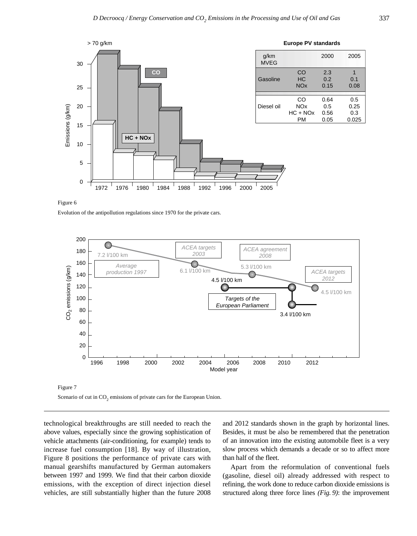

| g/km<br><b>MVEG</b> |                       | 2000 | 2005  |
|---------------------|-----------------------|------|-------|
|                     | CO                    | 2.3  |       |
| Gasoline            | НC                    | 0.2  | 0.1   |
|                     | <b>NO<sub>x</sub></b> | 0.15 | 0.08  |
|                     |                       |      |       |
|                     | CO                    | 0.64 | 0.5   |
| Diesel oil          | <b>NOx</b>            | 0.5  | 0.25  |
|                     | $HC + NOx$            | 0.56 | 0.3   |
|                     | PM                    | 0.05 | 0.025 |

Figure 6

Evolution of the antipollution regulations since 1970 for the private cars.



Scenario of cut in CO<sub>2</sub> emissions of private cars for the European Union.

technological breakthroughs are still needed to reach the above values, especially since the growing sophistication of vehicle attachments (air-conditioning, for example) tends to increase fuel consumption [18]. By way of illustration, Figure 8 positions the performance of private cars with manual gearshifts manufactured by German automakers between 1997 and 1999. We find that their carbon dioxide emissions, with the exception of direct injection diesel vehicles, are still substantially higher than the future 2008 and 2012 standards shown in the graph by horizontal lines. Besides, it must be also be remembered that the penetration of an innovation into the existing automobile fleet is a very slow process which demands a decade or so to affect more than half of the fleet.

Apart from the reformulation of conventional fuels (gasoline, diesel oil) already addressed with respect to refining, the work done to reduce carbon dioxide emissions is structured along three force lines *(Fig. 9)*: the improvement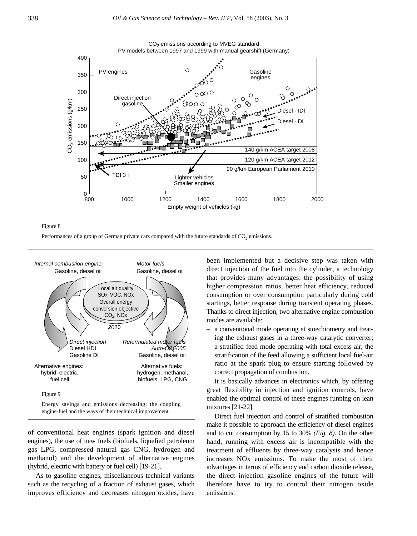

Figure 8

Performances of a group of German private cars compared with the future standards of CO<sub>2</sub> emissions.



of conventional heat engines (spark ignition and diesel engines), the use of new fuels (biofuels, liquefied petroleum gas LPG, compressed natural gas CNG, hydrogen and methanol) and the development of alternative engines (hybrid, electric with battery or fuel cell) [19-21].

As to gasoline engines, miscellaneous technical variants such as the recycling of a fraction of exhaust gases, which improves efficiency and decreases nitrogen oxides, have

been implemented but a decisive step was taken with direct injection of the fuel into the cylinder, a technology that provides many advantages: the possibility of using higher compression ratios, better heat efficiency, reduced consumption or over consumption particularly during cold startings, better response during transient operating phases. Thanks to direct injection, two alternative engine combustion modes are available:

- a conventional mode operating at stoechiometry and treating the exhaust gases in a three-way catalytic converter;
- a stratified feed mode operating with total excess air, the stratification of the feed allowing a sufficient local fuel-air ratio at the spark plug to ensure starting followed by correct propagation of combustion.

It is basically advances in electronics which, by offering great flexibility in injection and ignition controls, have enabled the optimal control of these engines running on lean mixtures [21-22].

Direct fuel injection and control of stratified combustion make it possible to approach the efficiency of diesel engines and to cut consumption by 15 to 30% *(Fig. 8)*. On the other hand, running with excess air is incompatible with the treatment of effluents by three-way catalysis and hence increases NOx emissions. To make the most of their advantages in terms of efficiency and carbon dioxide release, the direct injection gasoline engines of the future will therefore have to try to control their nitrogen oxide emissions.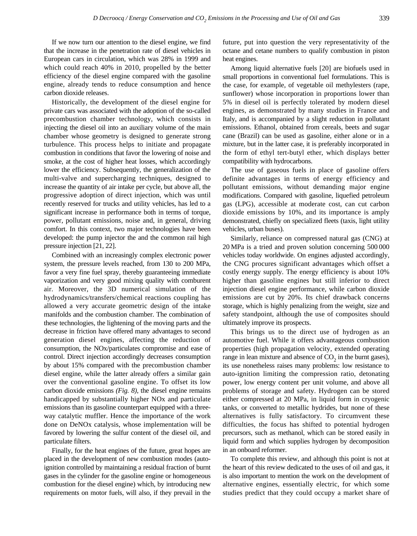If we now turn our attention to the diesel engine, we find that the increase in the penetration rate of diesel vehicles in European cars in circulation, which was 28% in 1999 and which could reach 40% in 2010, propelled by the better efficiency of the diesel engine compared with the gasoline engine, already tends to reduce consumption and hence carbon dioxide releases.

Historically, the development of the diesel engine for private cars was associated with the adoption of the so-called precombustion chamber technology, which consists in injecting the diesel oil into an auxiliary volume of the main chamber whose geometry is designed to generate strong turbulence. This process helps to initiate and propagate combustion in conditions that favor the lowering of noise and smoke, at the cost of higher heat losses, which accordingly lower the efficiency. Subsequently, the generalization of the multi-valve and supercharging techniques, designed to increase the quantity of air intake per cycle, but above all, the progressive adoption of direct injection, which was until recently reserved for trucks and utility vehicles, has led to a significant increase in performance both in terms of torque, power, pollutant emissions, noise and, in general, driving comfort. In this context, two major technologies have been developed: the pump injector the and the common rail high pressure injection [21, 22].

Combined with an increasingly complex electronic power system, the pressure levels reached, from 130 to 200 MPa, favor a very fine fuel spray, thereby guaranteeing immediate vaporization and very good mixing quality with comburent air. Moreover, the 3D numerical simulation of the hydrodynamics/transfers/chemical reactions coupling has allowed a very accurate geometric design of the intake manifolds and the combustion chamber. The combination of these technologies, the lightening of the moving parts and the decrease in friction have offered many advantages to second generation diesel engines, affecting the reduction of consumption, the NOx/particulates compromise and ease of control. Direct injection accordingly decreases consumption by about 15% compared with the precombustion chamber diesel engine, while the latter already offers a similar gain over the conventional gasoline engine. To offset its low carbon dioxide emissions *(Fig. 8)*, the diesel engine remains handicapped by substantially higher NOx and particulate emissions than its gasoline counterpart equipped with a threeway catalytic muffler. Hence the importance of the work done on DeNOx catalysis, whose implementation will be favored by lowering the sulfur content of the diesel oil, and particulate filters.

Finally, for the heat engines of the future, great hopes are placed in the development of new combustion modes (autoignition controlled by maintaining a residual fraction of burnt gases in the cylinder for the gasoline engine or homogeneous combustion for the diesel engine) which, by introducing new requirements on motor fuels, will also, if they prevail in the future, put into question the very representativity of the octane and cetane numbers to qualify combustion in piston heat engines.

Among liquid alternative fuels [20] are biofuels used in small proportions in conventional fuel formulations. This is the case, for example, of vegetable oil methylesters (rape, sunflower) whose incorporation in proportions lower than 5% in diesel oil is perfectly tolerated by modern diesel engines, as demonstrated by many studies in France and Italy, and is accompanied by a slight reduction in pollutant emissions. Ethanol, obtained from cereals, beets and sugar cane (Brazil) can be used as gasoline, either alone or in a mixture, but in the latter case, it is preferably incorporated in the form of ethyl tert-butyl ether, which displays better compatibility with hydrocarbons.

The use of gaseous fuels in place of gasoline offers definite advantages in terms of energy efficiency and pollutant emissions, without demanding major engine modifications. Compared with gasoline, liquefied petroleum gas (LPG), accessible at moderate cost, can cut carbon dioxide emissions by 10%, and its importance is amply demonstrated, chiefly on specialized fleets (taxis, light utility vehicles, urban buses).

Similarly, reliance on compressed natural gas (CNG) at 20 MPa is a tried and proven solution concerning 500 000 vehicles today worldwide. On engines adjusted accordingly, the CNG procures significant advantages which offset a costly energy supply. The energy efficiency is about 10% higher than gasoline engines but still inferior to direct injection diesel engine performance, while carbon dioxide emissions are cut by 20%. Its chief drawback concerns storage, which is highly penalizing from the weight, size and safety standpoint, although the use of composites should ultimately improve its prospects.

This brings us to the direct use of hydrogen as an automotive fuel. While it offers advantageous combustion properties (high propagation velocity, extended operating range in lean mixture and absence of  $CO<sub>2</sub>$  in the burnt gases), its use nonetheless raises many problems: low resistance to auto-ignition limiting the compression ratio, detonating power, low energy content per unit volume, and above all problems of storage and safety. Hydrogen can be stored either compressed at 20 MPa, in liquid form in cryogenic tanks, or converted to metallic hydrides, but none of these alternatives is fully satisfactory. To circumvent these difficulties, the focus has shifted to potential hydrogen precursors, such as methanol, which can be stored easily in liquid form and which supplies hydrogen by decomposition in an onboard reformer.

To complete this review, and although this point is not at the heart of this review dedicated to the uses of oil and gas, it is also important to mention the work on the development of alternative engines, essentially electric, for which some studies predict that they could occupy a market share of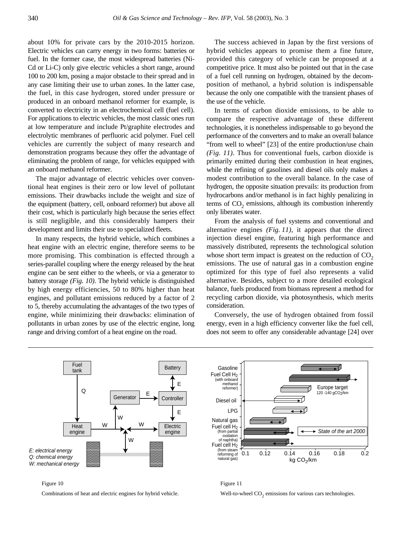about 10% for private cars by the 2010-2015 horizon. Electric vehicles can carry energy in two forms: batteries or fuel. In the former case, the most widespread batteries (Ni-Cd or Li-C) only give electric vehicles a short range, around 100 to 200 km, posing a major obstacle to their spread and in any case limiting their use to urban zones. In the latter case, the fuel, in this case hydrogen, stored under pressure or produced in an onboard methanol reformer for example, is converted to electricity in an electrochemical cell (fuel cell). For applications to electric vehicles, the most classic ones run at low temperature and include Pt/graphite electrodes and electrolytic membranes of perfluoric acid polymer. Fuel cell vehicles are currently the subject of many research and demonstration programs because they offer the advantage of eliminating the problem of range, for vehicles equipped with an onboard methanol reformer.

The major advantage of electric vehicles over conventional heat engines is their zero or low level of pollutant emissions. Their drawbacks include the weight and size of the equipment (battery, cell, onboard reformer) but above all their cost, which is particularly high because the series effect is still negligible, and this considerably hampers their development and limits their use to specialized fleets.

In many respects, the hybrid vehicle, which combines a heat engine with an electric engine, therefore seems to be more promising. This combination is effected through a series-parallel coupling where the energy released by the heat engine can be sent either to the wheels, or via a generator to battery storage *(Fig. 10)*. The hybrid vehicle is distinguished by high energy efficiencies, 50 to 80% higher than heat engines, and pollutant emissions reduced by a factor of 2 to 5, thereby accumulating the advantages of the two types of engine, while minimizing their drawbacks: elimination of pollutants in urban zones by use of the electric engine, long range and driving comfort of a heat engine on the road.

The success achieved in Japan by the first versions of hybrid vehicles appears to promise them a fine future, provided this category of vehicle can be proposed at a competitive price. It must also be pointed out that in the case of a fuel cell running on hydrogen, obtained by the decomposition of methanol, a hybrid solution is indispensable because the only one compatible with the transient phases of the use of the vehicle.

In terms of carbon dioxide emissions, to be able to compare the respective advantage of these different technologies, it is nonetheless indispensable to go beyond the performance of the converters and to make an overall balance "from well to wheel" [23] of the entire production/use chain *(Fig. 11)*. Thus for conventional fuels, carbon dioxide is primarily emitted during their combustion in heat engines, while the refining of gasolines and diesel oils only makes a modest contribution to the overall balance. In the case of hydrogen, the opposite situation prevails: its production from hydrocarbons and/or methanol is in fact highly penalizing in terms of  $CO<sub>2</sub>$  emissions, although its combustion inherently only liberates water.

From the analysis of fuel systems and conventional and alternative engines *(Fig. 11)*, it appears that the direct injection diesel engine, featuring high performance and massively distributed, represents the technological solution whose short term impact is greatest on the reduction of  $CO<sub>2</sub>$ emissions. The use of natural gas in a combustion engine optimized for this type of fuel also represents a valid alternative. Besides, subject to a more detailed ecological balance, fuels produced from biomass represent a method for recycling carbon dioxide, via photosynthesis, which merits consideration.

Conversely, the use of hydrogen obtained from fossil energy, even in a high efficiency converter like the fuel cell, does not seem to offer any considerable advantage [24] over



Figure 10

Combinations of heat and electric engines for hybrid vehicle.





Well-to-wheel  $CO<sub>2</sub>$  emissions for various cars technologies.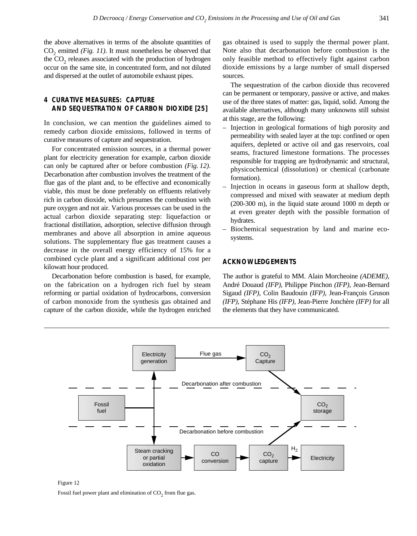the above alternatives in terms of the absolute quantities of CO<sub>2</sub> emitted *(Fig. 11)*. It must nonetheless be observed that the  $CO<sub>2</sub>$  releases associated with the production of hydrogen occur on the same site, in concentrated form, and not diluted and dispersed at the outlet of automobile exhaust pipes.

### **4 CURATIVE MEASURES: CAPTURE AND SEQUESTRATION OF CARBON DIOXIDE [25]**

In conclusion, we can mention the guidelines aimed to remedy carbon dioxide emissions, followed in terms of curative measures of capture and sequestration.

For concentrated emission sources, in a thermal power plant for electricity generation for example, carbon dioxide can only be captured after or before combustion *(Fig. 12)*. Decarbonation after combustion involves the treatment of the flue gas of the plant and, to be effective and economically viable, this must be done preferably on effluents relatively rich in carbon dioxide, which presumes the combustion with pure oxygen and not air. Various processes can be used in the actual carbon dioxide separating step: liquefaction or fractional distillation, adsorption, selective diffusion through membranes and above all absorption in amine aqueous solutions. The supplementary flue gas treatment causes a decrease in the overall energy efficiency of 15% for a combined cycle plant and a significant additional cost per kilowatt hour produced.

Decarbonation before combustion is based, for example, on the fabrication on a hydrogen rich fuel by steam reforming or partial oxidation of hydrocarbons, conversion of carbon monoxide from the synthesis gas obtained and capture of the carbon dioxide, while the hydrogen enriched gas obtained is used to supply the thermal power plant. Note also that decarbonation before combustion is the only feasible method to effectively fight against carbon dioxide emissions by a large number of small dispersed sources.

The sequestration of the carbon dioxide thus recovered can be permanent or temporary, passive or active, and makes use of the three states of matter: gas, liquid, solid. Among the available alternatives, although many unknowns still subsist at this stage, are the following:

- Injection in geological formations of high porosity and permeability with sealed layer at the top: confined or open aquifers, depleted or active oil and gas reservoirs, coal seams, fractured limestone formations. The processes responsible for trapping are hydrodynamic and structural, physicochemical (dissolution) or chemical (carbonate formation).
- Injection in oceans in gaseous form at shallow depth, compressed and mixed with seawater at medium depth (200-300 m), in the liquid state around 1000 m depth or at even greater depth with the possible formation of hydrates.
- Biochemical sequestration by land and marine ecosystems.

#### **ACKNOWLEDGEMENTS**

The author is grateful to MM. Alain Morcheoine *(ADEME)*, André Douaud *(IFP)*, Philippe Pinchon *(IFP)*, Jean-Bernard Sigaud *(IFP)*, Colin Baudouin *(IFP)*, Jean-François Gruson *(IFP)*, Stéphane His *(IFP)*, Jean-Pierre Jonchère *(IFP)* for all the elements that they have communicated.



Figure 12

Fossil fuel power plant and elimination of  $CO<sub>2</sub>$  from flue gas.